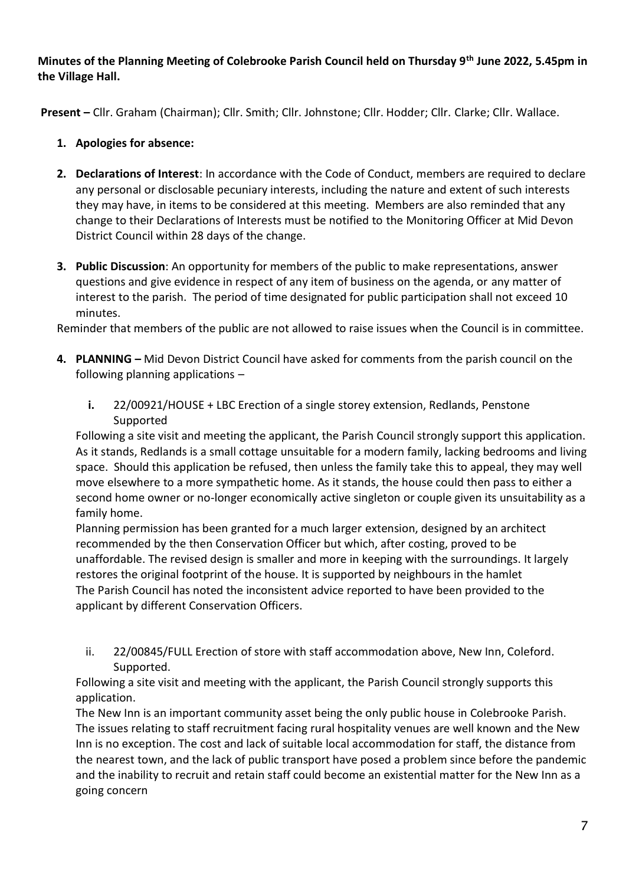**Minutes of the Planning Meeting of Colebrooke Parish Council held on Thursday 9th June 2022, 5.45pm in the Village Hall.**

**Present –** Cllr. Graham (Chairman); Cllr. Smith; Cllr. Johnstone; Cllr. Hodder; Cllr. Clarke; Cllr. Wallace.

- **1. Apologies for absence:**
- **2. Declarations of Interest**: In accordance with the Code of Conduct, members are required to declare any personal or disclosable pecuniary interests, including the nature and extent of such interests they may have, in items to be considered at this meeting. Members are also reminded that any change to their Declarations of Interests must be notified to the Monitoring Officer at Mid Devon District Council within 28 days of the change.
- **3. Public Discussion**: An opportunity for members of the public to make representations, answer questions and give evidence in respect of any item of business on the agenda, or any matter of interest to the parish. The period of time designated for public participation shall not exceed 10 minutes.

Reminder that members of the public are not allowed to raise issues when the Council is in committee.

- **4. PLANNING –** Mid Devon District Council have asked for comments from the parish council on the following planning applications –
	- **i.** 22/00921/HOUSE + LBC Erection of a single storey extension, Redlands, Penstone Supported

Following a site visit and meeting the applicant, the Parish Council strongly support this application. As it stands, Redlands is a small cottage unsuitable for a modern family, lacking bedrooms and living space. Should this application be refused, then unless the family take this to appeal, they may well move elsewhere to a more sympathetic home. As it stands, the house could then pass to either a second home owner or no-longer economically active singleton or couple given its unsuitability as a family home.

Planning permission has been granted for a much larger extension, designed by an architect recommended by the then Conservation Officer but which, after costing, proved to be unaffordable. The revised design is smaller and more in keeping with the surroundings. It largely restores the original footprint of the house. It is supported by neighbours in the hamlet The Parish Council has noted the inconsistent advice reported to have been provided to the applicant by different Conservation Officers.

ii. 22/00845/FULL Erection of store with staff accommodation above, New Inn, Coleford. Supported.

Following a site visit and meeting with the applicant, the Parish Council strongly supports this application.

The New Inn is an important community asset being the only public house in Colebrooke Parish. The issues relating to staff recruitment facing rural hospitality venues are well known and the New Inn is no exception. The cost and lack of suitable local accommodation for staff, the distance from the nearest town, and the lack of public transport have posed a problem since before the pandemic and the inability to recruit and retain staff could become an existential matter for the New Inn as a going concern